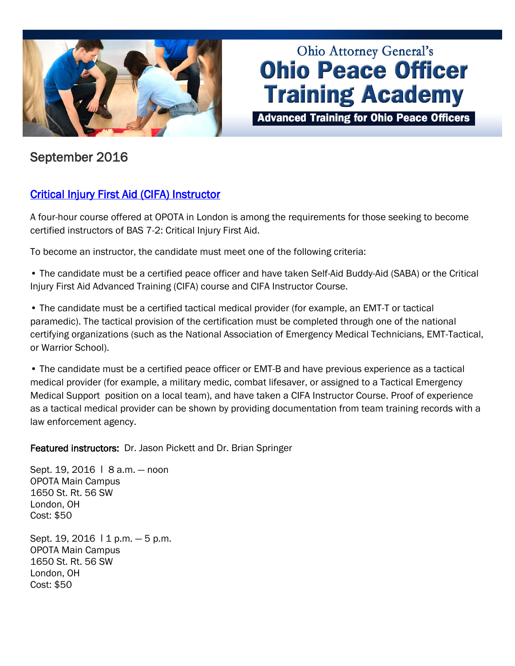

# **Ohio Attorney General's Ohio Peace Officer Training Academy**

**Advanced Training for Ohio Peace Officers** 

# September 2016

# [Critical Injury First Aid \(CIFA\) Instructor](http://www.ohioattorneygeneral.gov/Law-Enforcement/Ohio-Peace-Officer-Training-Academy/Course-Catalog/Course-Categories/Instructor-Training-Courses#OPOTA794)

A four-hour course offered at OPOTA in London is among the requirements for those seeking to become certified instructors of BAS 7-2: Critical Injury First Aid.

To become an instructor, the candidate must meet one of the following criteria:

• The candidate must be a certified peace officer and have taken Self-Aid Buddy-Aid (SABA) or the Critical Injury First Aid Advanced Training (CIFA) course and CIFA Instructor Course.

• The candidate must be a certified tactical medical provider (for example, an EMT-T or tactical paramedic). The tactical provision of the certification must be completed through one of the national certifying organizations (such as the National Association of Emergency Medical Technicians, EMT-Tactical, or Warrior School).

• The candidate must be a certified peace officer or EMT-B and have previous experience as a tactical medical provider (for example, a military medic, combat lifesaver, or assigned to a Tactical Emergency Medical Support position on a local team), and have taken a CIFA Instructor Course. Proof of experience as a tactical medical provider can be shown by providing documentation from team training records with a law enforcement agency.

Featured instructors: Dr. Jason Pickett and Dr. Brian Springer

Sept. 19, 2016 | 8 a.m. - noon OPOTA Main Campus 1650 St. Rt. 56 SW London, OH Cost: \$50

Sept. 19, 2016 | 1 p.m. - 5 p.m. OPOTA Main Campus 1650 St. Rt. 56 SW London, OH Cost: \$50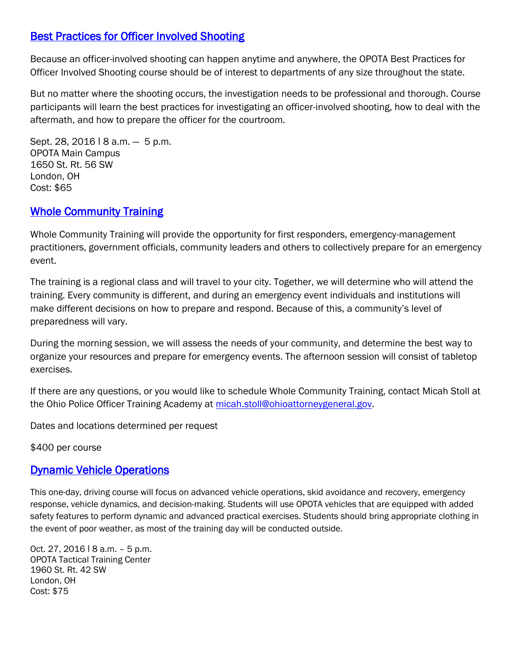### [Best Practices for Officer Involved Shooting](http://www.ohioattorneygeneral.gov/Law-Enforcement/Ohio-Peace-Officer-Training-Academy/Course-Catalog/Course-Categories/Firearms-Courses#OPOTA906)

Because an officer-involved shooting can happen anytime and anywhere, the OPOTA Best Practices for Officer Involved Shooting course should be of interest to departments of any size throughout the state.

But no matter where the shooting occurs, the investigation needs to be professional and thorough. Course participants will learn the best practices for investigating an officer-involved shooting, how to deal with the aftermath, and how to prepare the officer for the courtroom.

Sept. 28, 2016 | 8 a.m. - 5 p.m. OPOTA Main Campus 1650 St. Rt. 56 SW London, OH Cost: \$65

#### **Whole Community Training**

Whole Community Training will provide the opportunity for first responders, emergency-management practitioners, government officials, community leaders and others to collectively prepare for an emergency event.

The training is a regional class and will travel to your city. Together, we will determine who will attend the training. Every community is different, and during an emergency event individuals and institutions will make different decisions on how to prepare and respond. Because of this, a community's level of preparedness will vary.

During the morning session, we will assess the needs of your community, and determine the best way to organize your resources and prepare for emergency events. The afternoon session will consist of tabletop exercises.

If there are any questions, or you would like to schedule Whole Community Training, contact Micah Stoll at the Ohio Police Officer Training Academy at [micah.stoll@ohioattorneygeneral.gov.](mailto:micah.stoll@ohioattorneygeneral.gov)

Dates and locations determined per request

\$400 per course

#### [Dynamic Vehicle Operations](http://www.ohioattorneygeneral.gov/Law-Enforcement/Ohio-Peace-Officer-Training-Academy/Course-Catalog/Course-Categories/Driving-Courses)

This one-day, driving course will focus on advanced vehicle operations, skid avoidance and recovery, emergency response, vehicle dynamics, and decision-making. Students will use OPOTA vehicles that are equipped with added safety features to perform dynamic and advanced practical exercises. Students should bring appropriate clothing in the event of poor weather, as most of the training day will be conducted outside.

Oct. 27, 2016 ǀ 8 a.m. – 5 p.m. OPOTA Tactical Training Center 1960 St. Rt. 42 SW London, OH Cost: \$75